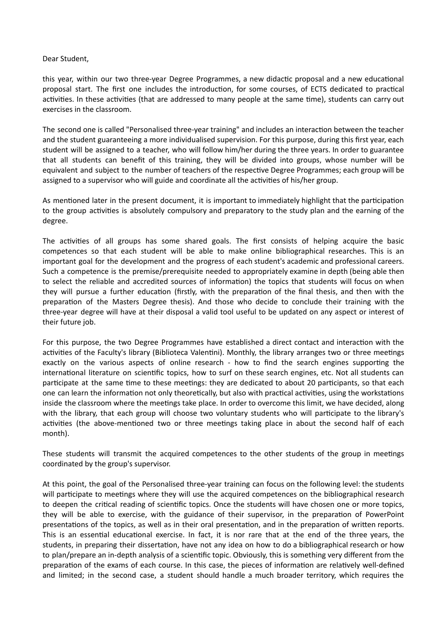## Dear Student,

this year, within our two three-year Degree Programmes, a new didactic proposal and a new educational proposal start. The first one includes the introduction, for some courses, of ECTS dedicated to practical activities. In these activities (that are addressed to many people at the same time), students can carry out exercises in the classroom.

The second one is called "Personalised three-year training" and includes an interaction between the teacher and the student guaranteeing a more individualised supervision. For this purpose, during this first year, each student will be assigned to a teacher, who will follow him/her during the three years. In order to guarantee that all students can benefit of this training, they will be divided into groups, whose number will be equivalent and subject to the number of teachers of the respective Degree Programmes; each group will be assigned to a supervisor who will guide and coordinate all the activities of his/her group.

As mentioned later in the present document, it is important to immediately highlight that the participation to the group activities is absolutely compulsory and preparatory to the study plan and the earning of the degree.

The activities of all groups has some shared goals. The first consists of helping acquire the basic competences so that each student will be able to make online bibliographical researches. This is an important goal for the development and the progress of each student's academic and professional careers. Such a competence is the premise/prerequisite needed to appropriately examine in depth (being able then to select the reliable and accredited sources of information) the topics that students will focus on when they will pursue a further education (firstly, with the preparation of the final thesis, and then with the preparation of the Masters Degree thesis). And those who decide to conclude their training with the three-year degree will have at their disposal a valid tool useful to be updated on any aspect or interest of their future job.

For this purpose, the two Degree Programmes have established a direct contact and interaction with the activities of the Faculty's library (Biblioteca Valentini). Monthly, the library arranges two or three meetings exactly on the various aspects of online research - how to find the search engines supporting the international literature on scientific topics, how to surf on these search engines, etc. Not all students can participate at the same time to these meetings: they are dedicated to about 20 participants, so that each one can learn the information not only theoretically, but also with practical activities, using the workstations inside the classroom where the meetings take place. In order to overcome this limit, we have decided, along with the library, that each group will choose two voluntary students who will parcipate to the library's activities (the above-mentioned two or three meetings taking place in about the second half of each month).

These students will transmit the acquired competences to the other students of the group in meetings coordinated by the group's supervisor.

At this point, the goal of the Personalised three-year training can focus on the following level: the students will participate to meetings where they will use the acquired competences on the bibliographical research to deepen the critical reading of scientific topics. Once the students will have chosen one or more topics, they will be able to exercise, with the guidance of their supervisor, in the preparation of PowerPoint presentations of the topics, as well as in their oral presentation, and in the preparation of written reports. This is an essential educational exercise. In fact, it is nor rare that at the end of the three years, the students, in preparing their dissertation, have not any idea on how to do a bibliographical research or how to plan/prepare an in-depth analysis of a scientific topic. Obviously, this is something very different from the preparation of the exams of each course. In this case, the pieces of information are relatively well-defined and limited; in the second case, a student should handle a much broader territory, which requires the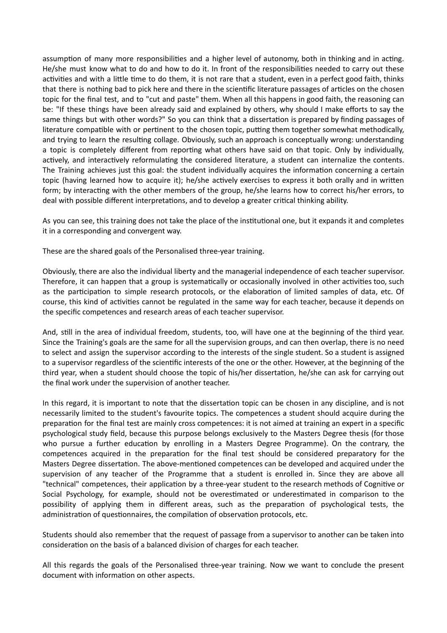assumption of many more responsibilities and a higher level of autonomy, both in thinking and in acting. He/she must know what to do and how to do it. In front of the responsibilities needed to carry out these activities and with a little time to do them, it is not rare that a student, even in a perfect good faith, thinks that there is nothing bad to pick here and there in the scientific literature passages of articles on the chosen topic for the final test, and to "cut and paste" them. When all this happens in good faith, the reasoning can be: "If these things have been already said and explained by others, why should I make efforts to say the same things but with other words?" So you can think that a dissertation is prepared by finding passages of literature compatible with or pertinent to the chosen topic, putting them together somewhat methodically, and trying to learn the resulting collage. Obviously, such an approach is conceptually wrong: understanding a topic is completely different from reporting what others have said on that topic. Only by individually, actively, and interactively reformulating the considered literature, a student can internalize the contents. The Training achieves just this goal: the student individually acquires the information concerning a certain topic (having learned how to acquire it); he/she actively exercises to express it both orally and in written form; by interacting with the other members of the group, he/she learns how to correct his/her errors, to deal with possible different interpretations, and to develop a greater critical thinking ability.

As you can see, this training does not take the place of the institutional one, but it expands it and completes it in a corresponding and convergent way.

These are the shared goals of the Personalised three-year training.

Obviously, there are also the individual liberty and the managerial independence of each teacher supervisor. Therefore, it can happen that a group is systematically or occasionally involved in other activities too, such as the participation to simple research protocols, or the elaboration of limited samples of data, etc. Of course, this kind of activities cannot be regulated in the same way for each teacher, because it depends on the specific competences and research areas of each teacher supervisor.

And, still in the area of individual freedom, students, too, will have one at the beginning of the third year. Since the Training's goals are the same for all the supervision groups, and can then overlap, there is no need to select and assign the supervisor according to the interests of the single student. So a student is assigned to a supervisor regardless of the scienfic interests of the one or the other. However, at the beginning of the third year, when a student should choose the topic of his/her dissertation, he/she can ask for carrying out the final work under the supervision of another teacher.

In this regard, it is important to note that the dissertation topic can be chosen in any discipline, and is not necessarily limited to the student's favourite topics. The competences a student should acquire during the preparation for the final test are mainly cross competences: it is not aimed at training an expert in a specific psychological study field, because this purpose belongs exclusively to the Masters Degree thesis (for those who pursue a further education by enrolling in a Masters Degree Programme). On the contrary, the competences acquired in the preparation for the final test should be considered preparatory for the Masters Degree dissertation. The above-mentioned competences can be developed and acquired under the supervision of any teacher of the Programme that a student is enrolled in. Since they are above all "technical" competences, their application by a three-year student to the research methods of Cognitive or Social Psychology, for example, should not be overestimated or underestimated in comparison to the possibility of applying them in different areas, such as the preparation of psychological tests, the administration of questionnaires, the compilation of observation protocols, etc.

Students should also remember that the request of passage from a supervisor to another can be taken into consideration on the basis of a balanced division of charges for each teacher.

All this regards the goals of the Personalised three-year training. Now we want to conclude the present document with information on other aspects.